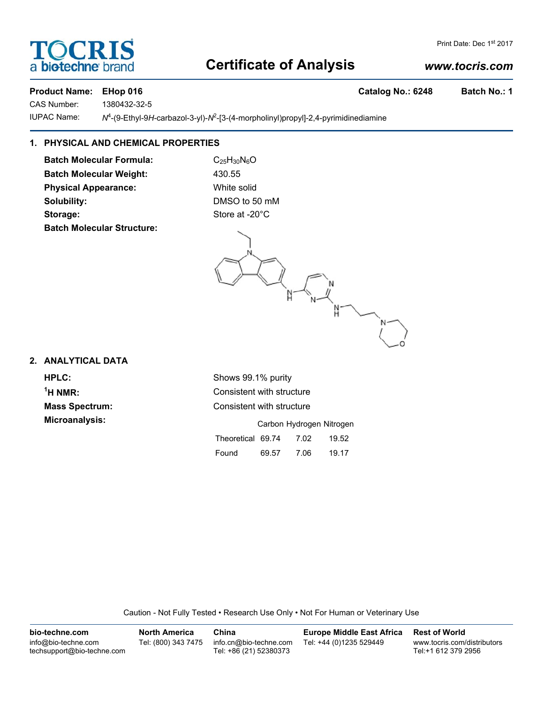# **Certificate of Analysis**

# *www.tocris.com*

## Product Name: EHop 016 **Catalog No.: 6248** Batch No.: 1

CAS Number: 1380432-32-5

**IUPAC Name:** -(9-Ethyl-9*H*-carbazol-3-yl)-*N*<sup>2</sup> -[3-(4-morpholinyl)propyl]-2,4-pyrimidinediamine

# **1. PHYSICAL AND CHEMICAL PROPERTIES**

**Batch Molecular Formula:** C<sub>25</sub>H<sub>30</sub>N<sub>6</sub>O Batch Molecular Weight: 430.55 **Physical Appearance:** White solid **Solubility:** DMSO to 50 mM Storage: Store at -20°C **Batch Molecular Structure:**

## **2. ANALYTICAL DATA**

 $<sup>1</sup>H NMR$ :</sup> **Microanalysis:** 

**HPLC:** Shows 99.1% purity **Consistent with structure Mass Spectrum:** Consistent with structure

|                   |       | Carbon Hydrogen Nitrogen |       |
|-------------------|-------|--------------------------|-------|
| Theoretical 69.74 |       | 7.02                     | 19.52 |
| Found             | 69.57 | 7.06                     | 19.17 |

Caution - Not Fully Tested • Research Use Only • Not For Human or Veterinary Use

| bio-techne.com                                    | <b>North America</b> | China                                            | <b>Europe Middle East Africa</b> | <b>Rest of World</b>                               |
|---------------------------------------------------|----------------------|--------------------------------------------------|----------------------------------|----------------------------------------------------|
| info@bio-techne.com<br>techsupport@bio-techne.com | Tel: (800) 343 7475  | info.cn@bio-techne.com<br>Tel: +86 (21) 52380373 | Tel: +44 (0)1235 529449          | www.tocris.com/distributors<br>Tel:+1 612 379 2956 |

# **TOCRIS** a **biotechne** br

Print Date: Dec 1st 2017